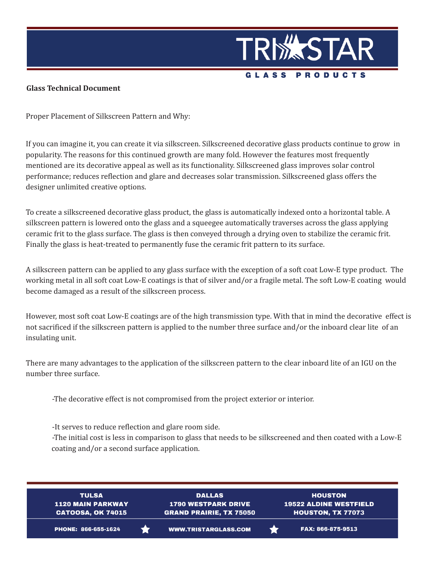

## **Glass Technical Document**

Proper Placement of Silkscreen Pattern and Why:

If you can imagine it, you can create it via silkscreen. Silkscreened decorative glass products continue to grow in popularity. The reasons for this continued growth are many fold. However the features most frequently mentioned are its decorative appeal as well as its functionality. Silkscreened glass improves solar control performance; reduces reflection and glare and decreases solar transmission. Silkscreened glass offers the designer unlimited creative options.

To create a silkscreened decorative glass product, the glass is automatically indexed onto a horizontal table. A silkscreen pattern is lowered onto the glass and a squeegee automatically traverses across the glass applying ceramic frit to the glass surface. The glass is then conveyed through a drying oven to stabilize the ceramic frit. Finally the glass is heat-treated to permanently fuse the ceramic frit pattern to its surface.

A silkscreen pattern can be applied to any glass surface with the exception of a soft coat Low-E type product. The working metal in all soft coat Low-E coatings is that of silver and/or a fragile metal. The soft Low-E coating would become damaged as a result of the silkscreen process.

However, most soft coat Low-E coatings are of the high transmission type. With that in mind the decorative effect is not sacrificed if the silkscreen pattern is applied to the number three surface and/or the inboard clear lite of an insulating unit.

There are many advantages to the application of the silkscreen pattern to the clear inboard lite of an IGU on the number three surface.

-The decorative effect is not compromised from the project exterior or interior.

-It serves to reduce reflection and glare room side.

-The initial cost is less in comparison to glass that needs to be silkscreened and then coated with a Low-E coating and/or a second surface application.